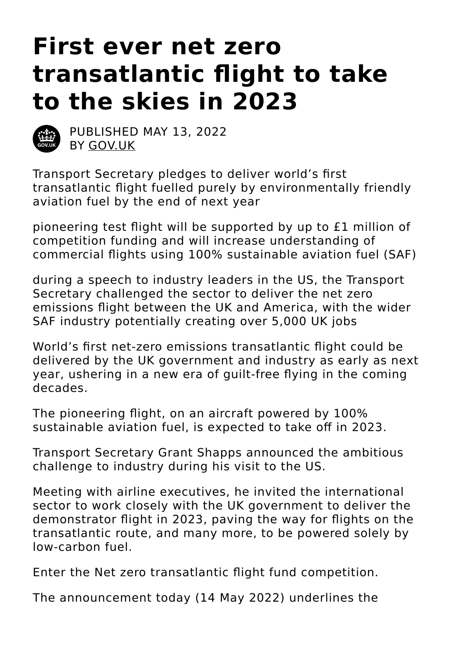# **First ever net zero transatlantic flight to take to the skies in 2023**



PUBLISHED MAY 13, 2022 BY [GOV.UK](https://www.gov.uk/)

Transport Secretary pledges to deliver world's first transatlantic flight fuelled purely by environmentally friendly aviation fuel by the end of next year

pioneering test flight will be supported by up to £1 million of competition funding and will increase understanding of commercial flights using 100% sustainable aviation fuel (SAF)

during a speech to industry leaders in the US, the Transport Secretary challenged the sector to deliver the net zero emissions flight between the UK and America, with the wider SAF industry potentially creating over 5,000 UK jobs

World's first net-zero emissions transatlantic flight could be delivered by the UK government and industry as early as next year, ushering in a new era of guilt-free flying in the coming decades.

The pioneering flight, on an aircraft powered by 100% sustainable aviation fuel, is expected to take off in 2023.

Transport Secretary Grant Shapps announced the ambitious challenge to industry during his visit to the US.

Meeting with airline executives, he invited the international sector to work closely with the UK government to deliver the demonstrator flight in 2023, paving the way for flights on the transatlantic route, and many more, to be powered solely by low-carbon fuel.

Enter the Net zero transatlantic flight fund competition.

The announcement today (14 May 2022) underlines the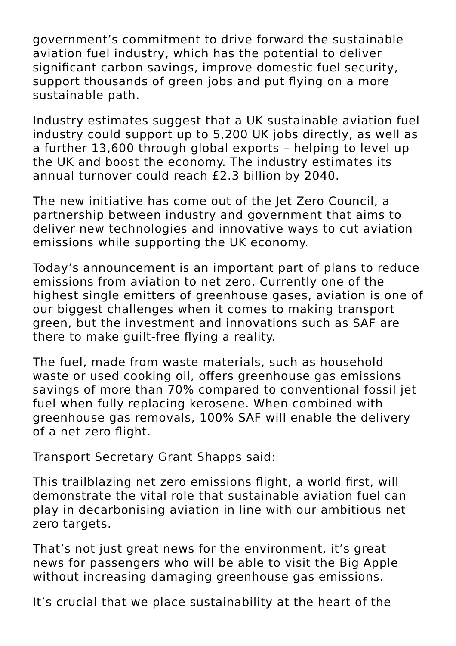government's commitment to drive forward the sustainable aviation fuel industry, which has the potential to deliver significant carbon savings, improve domestic fuel security, support thousands of green jobs and put flying on a more sustainable path.

Industry estimates suggest that a UK sustainable aviation fuel industry could support up to 5,200 UK jobs directly, as well as a further 13,600 through global exports – helping to level up the UK and boost the economy. The industry estimates its annual turnover could reach £2.3 billion by 2040.

The new initiative has come out of the Jet Zero Council, a partnership between industry and government that aims to deliver new technologies and innovative ways to cut aviation emissions while supporting the UK economy.

Today's announcement is an important part of plans to reduce emissions from aviation to net zero. Currently one of the highest single emitters of greenhouse gases, aviation is one of our biggest challenges when it comes to making transport green, but the investment and innovations such as SAF are there to make guilt-free flying a reality.

The fuel, made from waste materials, such as household waste or used cooking oil, offers greenhouse gas emissions savings of more than 70% compared to conventional fossil jet fuel when fully replacing kerosene. When combined with greenhouse gas removals, 100% SAF will enable the delivery of a net zero flight.

Transport Secretary Grant Shapps said:

This trailblazing net zero emissions flight, a world first, will demonstrate the vital role that sustainable aviation fuel can play in decarbonising aviation in line with our ambitious net zero targets.

That's not just great news for the environment, it's great news for passengers who will be able to visit the Big Apple without increasing damaging greenhouse gas emissions.

It's crucial that we place sustainability at the heart of the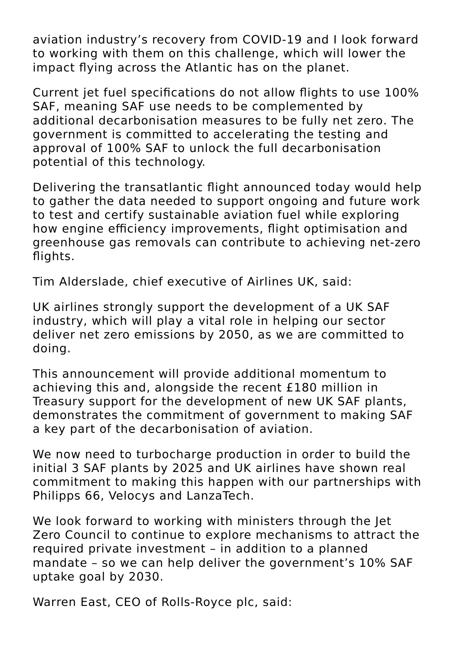aviation industry's recovery from COVID-19 and I look forward to working with them on this challenge, which will lower the impact flying across the Atlantic has on the planet.

Current jet fuel specifications do not allow flights to use 100% SAF, meaning SAF use needs to be complemented by additional decarbonisation measures to be fully net zero. The government is committed to accelerating the testing and approval of 100% SAF to unlock the full decarbonisation potential of this technology.

Delivering the transatlantic flight announced today would help to gather the data needed to support ongoing and future work to test and certify sustainable aviation fuel while exploring how engine efficiency improvements, flight optimisation and greenhouse gas removals can contribute to achieving net-zero flights.

Tim Alderslade, chief executive of Airlines UK, said:

UK airlines strongly support the development of a UK SAF industry, which will play a vital role in helping our sector deliver net zero emissions by 2050, as we are committed to doing.

This announcement will provide additional momentum to achieving this and, alongside the recent £180 million in Treasury support for the development of new UK SAF plants, demonstrates the commitment of government to making SAF a key part of the decarbonisation of aviation.

We now need to turbocharge production in order to build the initial 3 SAF plants by 2025 and UK airlines have shown real commitment to making this happen with our partnerships with Philipps 66, Velocys and LanzaTech.

We look forward to working with ministers through the Jet Zero Council to continue to explore mechanisms to attract the required private investment – in addition to a planned mandate – so we can help deliver the government's 10% SAF uptake goal by 2030.

Warren East, CEO of Rolls-Royce plc, said: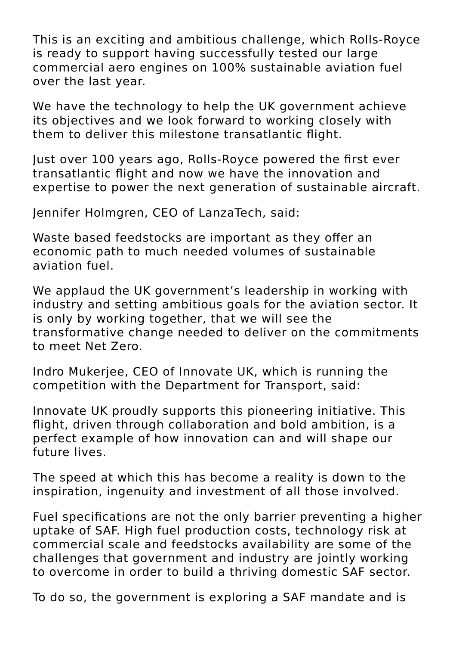This is an exciting and ambitious challenge, which Rolls-Royce is ready to support having successfully tested our large commercial aero engines on 100% sustainable aviation fuel over the last year.

We have the technology to help the UK government achieve its objectives and we look forward to working closely with them to deliver this milestone transatlantic flight.

Just over 100 years ago, Rolls-Royce powered the first ever transatlantic flight and now we have the innovation and expertise to power the next generation of sustainable aircraft.

Jennifer Holmgren, CEO of LanzaTech, said:

Waste based feedstocks are important as they offer an economic path to much needed volumes of sustainable aviation fuel.

We applaud the UK government's leadership in working with industry and setting ambitious goals for the aviation sector. It is only by working together, that we will see the transformative change needed to deliver on the commitments to meet Net Zero.

Indro Mukerjee, CEO of Innovate UK, which is running the competition with the Department for Transport, said:

Innovate UK proudly supports this pioneering initiative. This flight, driven through collaboration and bold ambition, is a perfect example of how innovation can and will shape our future lives.

The speed at which this has become a reality is down to the inspiration, ingenuity and investment of all those involved.

Fuel specifications are not the only barrier preventing a higher uptake of SAF. High fuel production costs, technology risk at commercial scale and feedstocks availability are some of the challenges that government and industry are jointly working to overcome in order to build a thriving domestic SAF sector.

To do so, the government is exploring a SAF mandate and is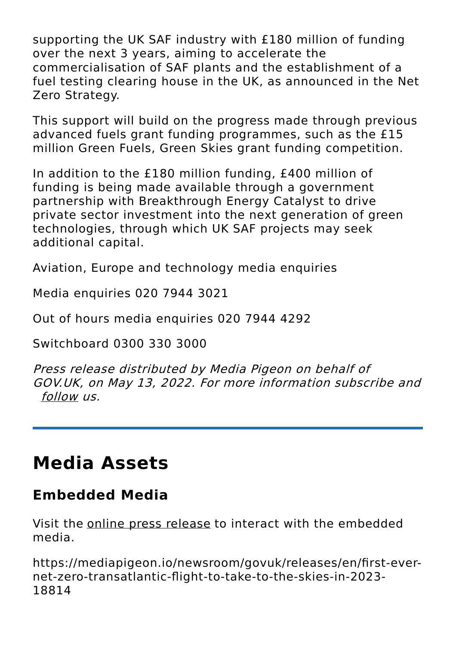supporting the UK SAF industry with £180 million of funding over the next 3 years, aiming to accelerate the commercialisation of SAF plants and the establishment of a fuel testing clearing house in the UK, as announced in the Net Zero Strategy.

This support will build on the progress made through previous advanced fuels grant funding programmes, such as the £15 million Green Fuels, Green Skies grant funding competition.

In addition to the £180 million funding, £400 million of funding is being made available through a government partnership with Breakthrough Energy Catalyst to drive private sector investment into the next generation of green technologies, through which UK SAF projects may seek additional capital.

Aviation, Europe and technology media enquiries

Media enquiries 020 7944 3021

Out of hours media enquiries 020 7944 4292

Switchboard 0300 330 3000

Press release distributed by Media Pigeon on behalf of GOV.UK, on May 13, 2022. For more information subscribe and [follow](https://mediapigeon.io) us.

## **Media Assets**

#### **Embedded Media**

Visit the online press [release](https://mediapigeon.io/newsroom/govuk/releases/en/first-ever-net-zero-transatlantic-flight-to-take-to-the-skies-in-2023-18814) to interact with the embedded media.

```
https://mediapigeon.io/newsroom/govuk/releases/en/first-ever-
net-zero-transatlantic-flight-to-take-to-the-skies-in-2023-
18814
```